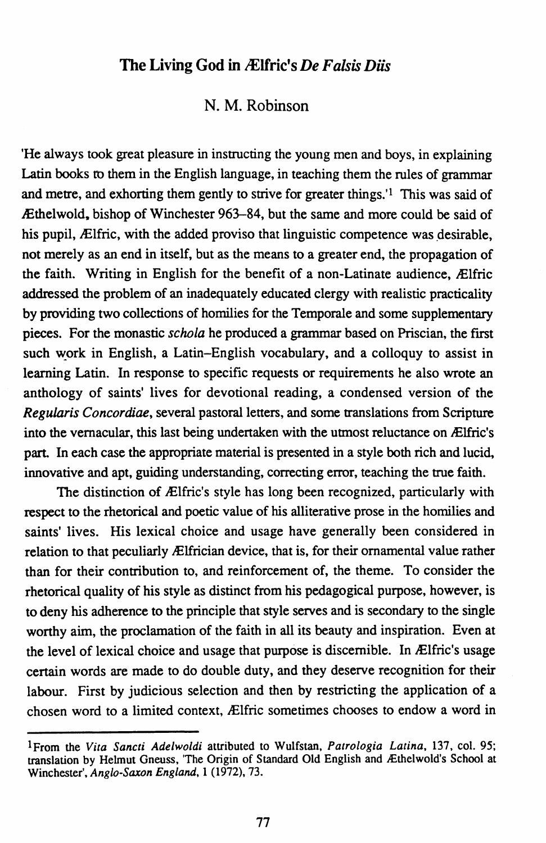## The Living God in *Ælfric's De Falsis Diis*

## N. M. Robinson

'He always took great pleasure in instructing the young men and boys, in explaining Latin books ro them in the English language, in teaching them the rules of grammar and metre, and exhorting them gently to strive for greater things.'l This was said of lEthelwold, bishop of Winchester 963-84, but the same and more could be said of his pupil, Ælfric, with the added proviso that linguistic competence was desirable, not merely as an end in itself, but as the means to a greater end, the propagation of the faith. Writing in English for the benefit of a non-Latinate audience, Ælfric addressed the problem of an inadequately educated clergy with realistic practicality by providing two collections of homilies for the Temporale and some supplementary pieces. For the monastic *schola* he produced a grammar based on Priscian, the first such work in English, a Latin-English vocabulary, and a colloquy to assist in learning Latin. In response to specific requests or requirements he also wrote an anthology of saints' lives for devotional reading, a condensed version of the *Regularis Concordiae,* several pastoral letters, and some translations from Scripture into the vernacular, this last being undertaken with the utmost reluctance on Ælfric's part. In each case the appropriate material is presented in a style both rich and lucid, innovative and apt, guiding understanding, correcting error, teaching the true faith.

The distinction of Ælfric's style has long been recognized, particularly with respect to the rhetorical and poetic value of his alliterative prose in the homilies and saints' lives. His lexical choice and usage have generally been considered in relation to that peculiarly Ælfrician device, that is, for their ornamental value rather than for their contribution to, and reinforcement of, the theme. To consider the rhetorical quality of his style as distinct from his pedagogical purpose, however, is to deny his adherence to the principle that style serves and is secondary to the single worthy aim, the proclamation of the faith in all its beauty and inspiration. Even at the level of lexical choice and usage that purpose is discernible. In Ælfric's usage certain words are made to do double duty, and they deserve recognition for their labour. First by judicious selection and then by restricting the application of a chosen word to a limited context, Ælfric sometimes chooses to endow a word in

<sup>1</sup> From the *Vita Sancti Adelwoldi* attributed to Wulfstan, *Patrologia Latina,* 137, col. 95; translation by Helmut Gneuss, 'The Origin of Standard Old English and Æthelwold's School at Winchester', *Anglo-Saxon England,* I (1972), 73.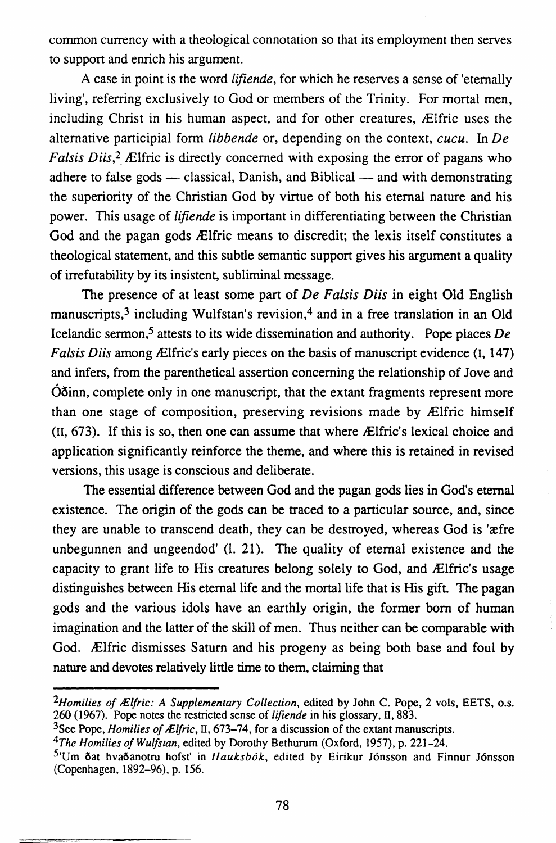common currency with a theological connotation so that its employment then serves to support and enrich his argument.

A case in point is the word *lifiende,* for which he reserves a sense of 'eternally living', referring exclusively to God or members of the Trinity. For mortal men, including Christ in his human aspect, and for other creatures, Ælfric uses the alternative participial form *libbende* or, depending on the context, *cucu.* In *De Falsis Diis*,<sup>2</sup> Ælfric is directly concerned with exposing the error of pagans who adhere to false gods  $-$  classical, Danish, and Biblical  $-$  and with demonstrating the superiority of the Christian God by virtue of both his eternal nature and his power. This usage of *lifiende* is important in differentiating between the Christian God and the pagan gods *Ælfric* means to discredit; the lexis itself constitutes a theological statement, and this subtle semantic support gives his argument a quality of irrefutability by its insistent, subliminal message.

The presence of at least some part of *De Fa/sis Diis* in eight Old English manuscripts,3 including Wulfstan's revision,4 and in a free translation in an Old Icelandic sermon,5 attests to its wide dissemination and authority. Pope places *De Falsis Diis among Ælfric's early pieces on the basis of manuscript evidence* (I, 147) and infers, from the parenthetical assertion concerning the relationship of Jove and  $\dot{\Omega}$ , complete only in one manuscript, that the extant fragments represent more than one stage of composition, preserving revisions made by Ælfric himself  $(II, 673)$ . If this is so, then one can assume that where  $\mathcal{L}$  Elfric's lexical choice and application significantly reinforce the theme, and where this is retained in revised versions, this usage is conscious and deliberate.

The essential difference between God and the pagan gods lies in God's eternal existence. The origin of the gods can be traced to a particular source, and, since they are unable to transcend death, they can be destroyed, whereas God is 'aefre unbegunnen and ungeendod' (l. 21). The quality of eternal existence and the capacity to grant life to His creatures belong solely to God, and *Elfric's* usage distinguishes between His eternal life and the mortal life that is His gift. The pagan gods and the various idols have an earthly origin, the former born of human imagination and the latter of the skill of men. Thus neither can be comparable with God. !Elfric dismisses Saturn and his progeny as being both base and foul by nature and devotes relatively little time to them, claiming that

<sup>&</sup>lt;sup>2</sup>Homilies of Ælfric: A Supplementary Collection, edited by John C. Pope, 2 vols, EETS, o.s. 260 (1967). Pope notes the restricted sense of */ifiende* in his glossary, II, 883.

<sup>&</sup>lt;sup>3</sup>See Pope, *Homilies of Ælfric*, II, 673-74, for a discussion of the extant manuscripts.

*<sup>4</sup>The Homilies of Wulfstan,* edited by Dorothy Bethurum (Oxford, 1957), p. 221-24.

<sup>&</sup>lt;sup>5</sup>'Um ðat hvaðanotru hofst' in *Hauksbók*, edited by Eirikur Jónsson and Finnur Jónsson (Copenhagen, 1892-96), p. 156.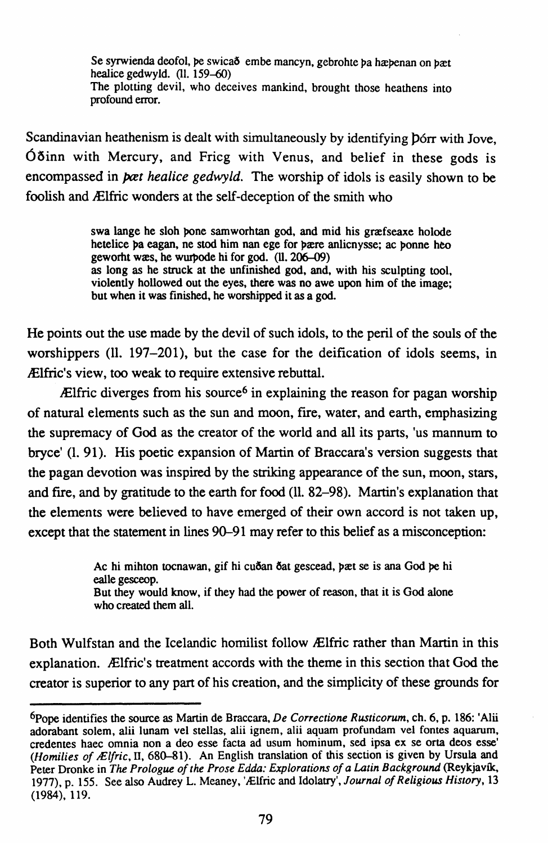Se syrwienda deofol, pe swicað embe mancyn, gebrohte pa hæpenan on bæt healice gedwyld.  $(11, 159-60)$ The plotting devil, who deceives mankind, brought those heathens into profound error.

Scandinavian heathenism is dealt with simultaneously by identifying borr with Jove. Óðinn with Mercury, and Fricg with Venus, and belief in these gods is encompassed in *poet healice gedwyld*. The worship of idols is easily shown to be foolish and Ælfric wonders at the self-deception of the smith who

> swa lange he sloh bone samworhtan god, and mid his græfseaxe holode hetelice ba eagan, ne stod him nan ege for bære anlicnysse: ac bonne heo geworht was, he wurbode hi for god. (ll. 206–09) as long as he struck at the unfinished god, and, with his sculpting tool. violently hollowed out the eyes, there was no awe upon him of the image: but when it was finished, he worshipped it as a god.

He points out the use made by the devil of such idols, to the peril of the souls of the worshippers (ll. 197-201), but the case for the deification of idols seems, in Ælfric's view, too weak to require extensive rebuttal.

 $\mathbb{R}$  Elfric diverges from his source<sup>6</sup> in explaining the reason for pagan worship of natural elements such as the sun and moon, fire, water, and earth, emphasizing the supremacy of God as the creator of the world and all its parts, 'us mannum to bryce' (1, 91). His poetic expansion of Martin of Braccara's version suggests that the pagan devotion was inspired by the striking appearance of the sun, moon, stars, and fire, and by gratitude to the earth for food (11, 82–98). Martin's explanation that the elements were believed to have emerged of their own accord is not taken up, except that the statement in lines 90–91 may refer to this belief as a misconception:

> Ac hi mihton tocnawan, gif hi cuðan ðat gescead, þæt se is ana God þe hi ealle gesceop. But they would know, if they had the power of reason, that it is God alone who created them all.

Both Wulfstan and the Icelandic homilist follow Ælfric rather than Martin in this explanation. Ælfric's treatment accords with the theme in this section that God the creator is superior to any part of his creation, and the simplicity of these grounds for

<sup>&</sup>lt;sup>6</sup>Pope identifies the source as Martin de Braccara, *De Correctione Rusticorum*, ch. 6, p. 186: 'Alii adorabant solem, alii lunam vel stellas, alii ignem, alii aquam profundam vel fontes aquarum, credentes haec omnia non a deo esse facta ad usum hominum, sed ipsa ex se orta deos esse' (Homilies of Ælfric, II, 680-81). An English translation of this section is given by Ursula and Peter Dronke in The Prologue of the Prose Edda: Explorations of a Latin Background (Reykjavík, 1977), p. 155. See also Audrey L. Meaney, 'Ælfric and Idolatry', Journal of Religious History, 13  $(1984), 119.$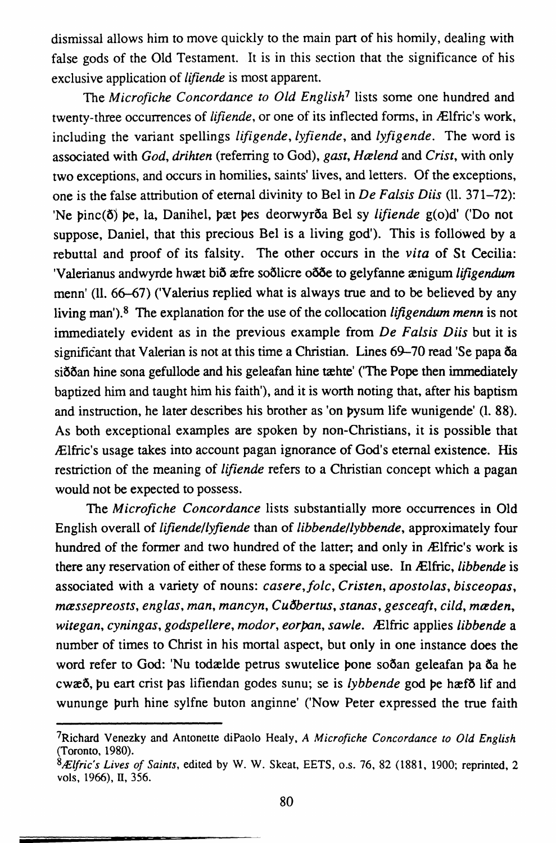dismissal allows him to move quickly to the main part of his homily, dealing with false gods of the Old Testament. It is in this section that the significance of his exclusive application of *lifiende* is most apparent.

The *Microfiche Concordance to Old English7* lists some one hundred and twenty-three occurrences of *lifiende*, or one of its inflected forms, in Ælfric's work. including the variant spellings *lifigende, lyfiende,* and *lyfigende.* The word is associated with *God, drihten* (referring to God), *gast, Halend* and *Crist,* with only two exceptions, and occurs in homilies, saints' lives, and letters. Of the exceptions, one is the false attribution of eternal divinity to Bel in *De Fa/sis Diis* (11. 371-72): 'Ne binc( $\delta$ ) be, la. Danihel, bæt bes deorwyr $\delta$ a Bel sy *lifiende* g(o)d' ('Do not suppose, Daniel, that this precious Bel is a living god'). This is followed by a rebuttal and proof of its falsity. The other occurs in the *vita* of St Cecilia: 'Valerianus andwyrde hwat bið afre soðlicre oð de to gelyfanne amigum *lifigendum* menn' (11. 66-67) ('Valerius replied what is always true and to be believed by any living man'). 8 The explanation for the use of the collocation *lifigendum menn* is not immediately evident as in the previous example from *De Fa/sis Diis* but it is significant that Valerian is not at this time a Christian. Lines 69-70 read 'Se papa 6a sið an hine sona gefullode and his geleafan hine tæhte' ('The Pope then immediately baptized him and taught him his faith'), and it is worth noting that, after his baptism and instruction, he later describes his brother as 'on pysum life wunigende' (1. 88). As both exceptional examples are spoken by non-Christians, it is possible that JElfric's usage takes into account pagan ignorance of God's eternal existence. His restriction of the meaning of *lifiende* refers to a Christian concept which a pagan would not be expected to possess.

The *Microfiche Concordance* lists substantially more occurrences in Old English overall of *lifiende/lyfiende* than of *libbende/lybbende,* approximately four hundred of the former and two hundred of the latter; and only in Ælfric's work is there any reservation of either of these forms to a special use. In JElfric, *libbende* is associated with a variety of nouns: *casere,jolc, Cristen, apostolas, bisceopas, massepreosts, eng/as, man, mancyn, Cuobertus, stanas, gesceaft, cild, maden, witegan, cyningas, godspellere, modor, eorpan, sawle.* JElfric applies *libbende* a number of times to Christ in his mortal aspect, but only in one instance does the word refer to God: 'Nu todælde petrus swutelice bone soðan geleafan þa ða he cwa<sup>3</sup>, bu eart crist pas lifiendan godes sunu; se is *lybbende* god be haefð lif and wununge burh hine sylfne buton anginne' ('Now Peter expressed the true faith

<sup>7</sup>Richard Venezky and Antonette diPaolo Healy, *A Microfiche Concordance to Old English*  (Toronto, 1980).

*<sup>81£/</sup>fric's Lives of Saints,* edited by W. W. Skeat, EETS, o.s. 76, 82 (1881, 1900; reprinted, 2 vols, 1966), II, 356.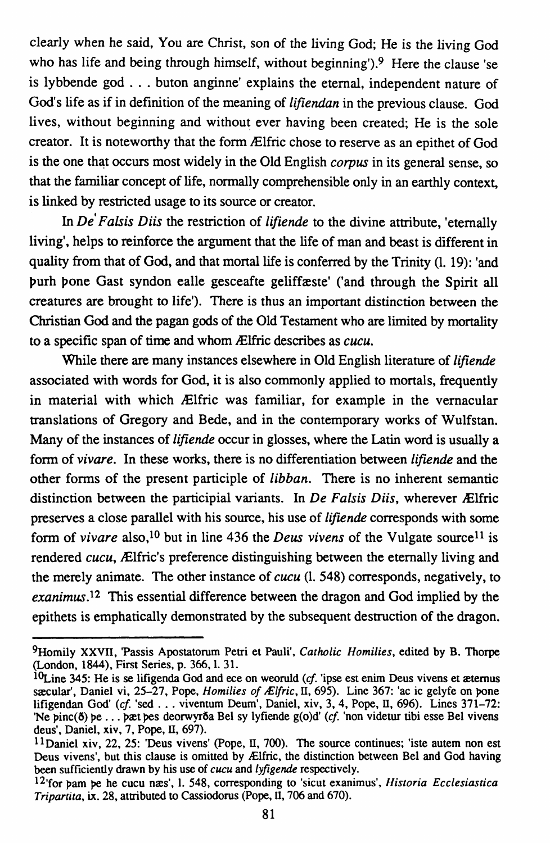clearly when he said, You are Christ, son of the living God; He is the living God who has life and being through himself, without beginning').<sup>9</sup> Here the clause 'se is lybbende god ... buton anginne' explains the eternal, independent nature of God's life as if in definition of the meaning of *lifiendan* in the previous clause. God lives, without beginning and without ever having been created; He is the sole creator. It is noteworthy that the form 1Elfric chose to reserve as an epithet of God is the one that occurs most widely in the Old English *corpus* in its general sense, so that the familiar concept of life, normally comprehensible only in an earthly context, is linked by restricted usage to its source or creator.

In *De' Fa/sis Diis* the restriction of *lifiende* to the divine attribute, 'eternally living', helps to reinforce the argument that the life of man and beast is different in quality from that of God, and that mortal life is conferred by the Trinity (1. 19): 'and purh pone Gast syndon ealle gesceafte geliffæste' ('and through the Spirit all creatures are brought to life'). There is thus an important distinction between the Christian God and the pagan gods of the Old Testament who are limited by mortality to a specific span of time and whom 1Elfric describes as *cucu.* 

While there are many instances elsewhere in Old English literature of *lifiende*  associated with words for God, it is also commonly applied to mortals, frequently in material with which Ælfric was familiar, for example in the vernacular translations of Gregory and Bede, and in the contemporary works of Wulfstan. Many of the instances of *lifiende* occur in glosses, where the Latin word is usually a form of *vivare.* In these works, there is no differentiation between *lifiende* and the other forms of the present participle of *libban.* There is no inherent semantic distinction between the participial variants. In *De Falsis Diis*, wherever Ælfric preserves a close parallel with his source, his use of *lifiende* corresponds with some form of *vivare* also,<sup>10</sup> but in line 436 the *Deus vivens* of the Vulgate source<sup>11</sup> is rendered *cucu*, Ælfric's preference distinguishing between the eternally living and the merely animate. The other instance of *cucu* (1. 548) corresponds, negatively, to *exanimus.l2* This essential difference between the dragon and God implied by the epithets is emphatically demonstrated by the subsequent destruction of the dragon.

<sup>9</sup>Homily XXVII, 'Passis Apostatorum Petri et Pauli', *Catholic Homilies,* edited by B. Thorpe (London, 1844), First Series, p. 366,1. 31.

<sup>&</sup>lt;sup>10</sup>Line 345: He is se lifigenda God and ece on weoruld (cf. 'ipse est enim Deus vivens et æternus sæcular', Daniel vi, 25-27, Pope, *Homilies of Ælfric*, II, 695). Line 367: 'ac ic gelyfe on pone lifigendan God' *(cf* 'sed ... viventum Deum', Daniel, xiv, 3, 4, Pope, II, 696). Lines 371-72: 'Ne pinc(5) pe ... pat pes deorwyr5a Bel sy lyfiende g(o)d' (cf. 'non videtur tibi esse Bel vivens deus', Daniel, xiv, 7, Pope, II, 697).

<sup>11</sup>Daniel xiv, 22, 25: 'Deus vivens' (Pope, II, 700). The source continues; 'iste autem non est Deus vivens', but this clause is omitted by Ælfric, the distinction between Bel and God having been sufficiently drawn by his use of *cucu* and *lyfigende* respectively.

 $12<sup>12</sup>$ <sup>for</sup> pam be he cucu næs', I. 548, corresponding to 'sicut exanimus', *Historia Ecclesiastica Tripartita,* ix. 28, attributed to Cassiodorus (Pope, II, 706 and 670).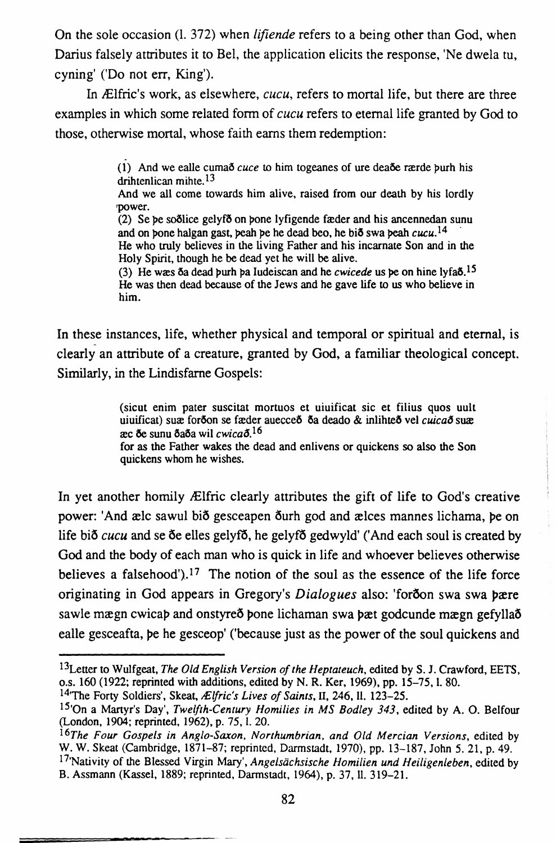On the sole occasion (1. 372) when *lifiende* refers to a being other than God, when Darius falsely attributes it to Bel, the application elicits the response. 'Ne dwela tu, cyning' ('Do not err, King').

In Ælfric's work, as elsewhere, *cucu*, refers to mortal life, but there are three examples in which some related form of *cucu* refers to eternal life granted by God to those, otherwise mortal, whose faith earns them redemption:

> (1) And we ealle cuma  $cuce$  to him togeanes of ure deade rande purh his drihtenlican mihte  $13$

> And we all come towards him alive, raised from our death by his lordly power.

> (2) Se be sootlice gelyfoon bone lyfigende fæder and his ancennedan sunu and on bone halgan gast, peah be he dead beo, he bið swa peah cucu.<sup>14</sup> He who truly believes in the living Father and his incarnate Son and in the Holy Spirit, though he be dead yet he will be alive.

> (3) He was  $\delta a$  dead burh ba Iudeiscan and he *cwicede* us be on hine lyfa $\delta$ .<sup>15</sup> He was then dead because of the Jews and he gave life to us who believe in him.

In these instances, life, whether physical and temporal or spiritual and eternal, is clearly an attribute of a creature, granted by God, a familiar theological concept. Similarly, in the Lindisfarne Gospels:

> (sicut enim pater suscitat mortuos et uiuificat sic et filius quos uult uiuificat) sux forõon se fæder auecceo oa deado & inlihteõ vel cuicao sux æc ðe sunu ðaða wil cwicað.<sup>16</sup>

> for as the Father wakes the dead and enlivens or quickens so also the Son quickens whom he wishes.

In yet another homily Ælfric clearly attributes the gift of life to God's creative power: 'And ælc sawul bið gesceapen ðurh god and ælces mannes lichama, þe on life bið cucu and se ðe elles gelyfð, he gelyfð gedwyld' ('And each soul is created by God and the body of each man who is quick in life and whoever believes otherwise believes a falsehood').<sup>17</sup> The notion of the soul as the essence of the life force originating in God appears in Gregory's Dialogues also: 'foroon swa swa bære sawle mægn cwicap and onstyreð pone lichaman swa pæt godcunde mægn gefyllað ealle gesceafta, be he gesceop' ('because just as the power of the soul quickens and

<sup>&</sup>lt;sup>13</sup>Letter to Wulfgeat, The Old English Version of the Heptateuch, edited by S. J. Crawford, EETS, o.s. 160 (1922; reprinted with additions, edited by N. R. Ker, 1969), pp. 15-75, 1. 80.

<sup>&</sup>lt;sup>14</sup>The Forty Soldiers'. Skeat, Ælfric's Lives of Saints, II, 246, II. 123-25.

<sup>&</sup>lt;sup>15</sup>'On a Martyr's Day', Twelfth-Century Homilies in MS Bodley 343, edited by A. O. Belfour (London, 1904; reprinted, 1962), p. 75, l. 20.

<sup>&</sup>lt;sup>16</sup>The Four Gospels in Anglo-Saxon, Northumbrian, and Old Mercian Versions, edited by W. W. Skeat (Cambridge, 1871-87; reprinted, Darmstadt, 1970), pp. 13-187, John 5. 21, p. 49.

<sup>&</sup>lt;sup>17</sup> Nativity of the Blessed Virgin Mary', Angelsächsische Homilien und Heiligenleben, edited by B. Assmann (Kassel, 1889; reprinted, Darmstadt, 1964), p. 37, ll. 319-21.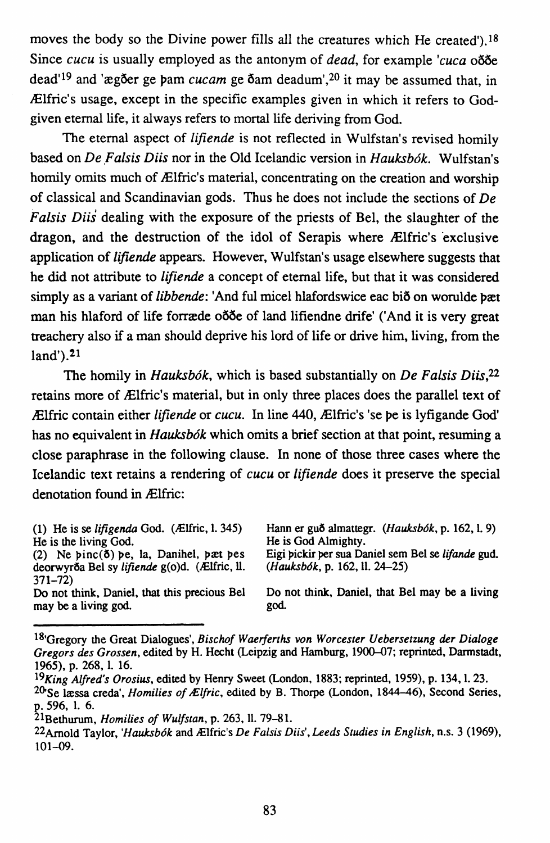moves the body so the Divine power fills all the creatures which He created').<sup>18</sup> Since *cucu* is usually employed as the antonym of *dead*, for example *'cuca* ooo dead'<sup>19</sup> and 'ægðer ge þam *cucam* ge ðam deadum',<sup>20</sup> it may be assumed that, in JElfric's usage, except in the specific examples given in which it refers to Godgiven eternal life, it always refers to mortal life deriving from God.

The eternal aspect of *lifiende* is not reflected in Wulfstan's revised homily based on *De Falsis Diis* nor in the Old Icelandic version in *Hauksbók*. Wulfstan's homily omits much of Ælfric's material, concentrating on the creation and worship of classical and Scandinavian gods. Thus he does not include the sections of *De Fa/sis Diis* dealing with the exposure of the priests of Bel, the slaughter of the dragon, and the destruction of the idol of Serapis where Ælfric's exclusive application of *lifiende* appears. However, Wulfstan's usage elsewhere suggests that he did not attribute to *lifiende* a concept of eternal life, but that it was considered simply as a variant of *libbende*: 'And ful micel hlafordswice eac bio on worulde pæt man his hlaford of life forræde oot land lifiendne drife' ('And it is very great treachery also if a man should deprive his lord of life or drive him, living, from the  $land$ '). $21$ 

The homily in *Hauksbók*, which is based substantially on *De Falsis Diis*.<sup>22</sup> retains more of Ælfric's material, but in only three places does the parallel text of JElfric contain either *lifiende* or *cucu.* In line 440,1Elfric's 'se pe is lyfigande God' has no equivalent in *Hauksb6k* which omits a brief section at that point, resuming a close paraphrase in the following clause. In none of those three cases where the Icelandic text retains a rendering of *cucu* or */ifiende* does it preserve the special denotation found in Ælfric:

| (1) He is se lifigenda God. (Ælfric, $1.345$ )<br>He is the living God.<br>(2) Ne pinc( $\delta$ ) pe, la, Danihel, pæt pes<br>deorwyrða Bel sy lifiende g(o)d. (Ælfric, ll.<br>$371 - 72$ | Hann er guð almattegr. (Hauksbók, p. 162, l. 9)<br>He is God Almighty.<br>Eigi pickir per sua Daniel sem Bel se lifande gud.<br>$(Hauksbók, p. 162, 11. 24-25)$ |
|--------------------------------------------------------------------------------------------------------------------------------------------------------------------------------------------|-----------------------------------------------------------------------------------------------------------------------------------------------------------------|
| Do not think, Daniel, that this precious Bel                                                                                                                                               | Do not think, Daniel, that Bel may be a living                                                                                                                  |
| may be a living god.                                                                                                                                                                       | god.                                                                                                                                                            |

<sup>18•</sup>Gregory the Great Dialogues', *Bischof Waerferths von Worcester Uebersetzung der Dialoge Gregors des Grossen,* edited by H. Hecht (Leipzig and Hamburg, 1900-07; reprinted, Darmstadt, 1965), p. 268, I. 16.

*<sup>19</sup>King Alfred's Orosius,* edited by Henry Sweet (London. 1883; reprinted, 1959), p. 134, I. 23. <sup>20</sup>Se læssa creda', *Homilies of Ælfric*, edited by B. Thorpe (London, 1844–46), Second Series, p. 596, I. 6.

<sup>21</sup>Bethurum, *Homilies of Wulfstan,* p. 263, 11. 79-81.

<sup>22</sup>Arnold Taylor, *'Hauksbók* and *Ælfric's De Falsis Diis', Leeds Studies in English, n.s.* 3 (1969), 101-09.